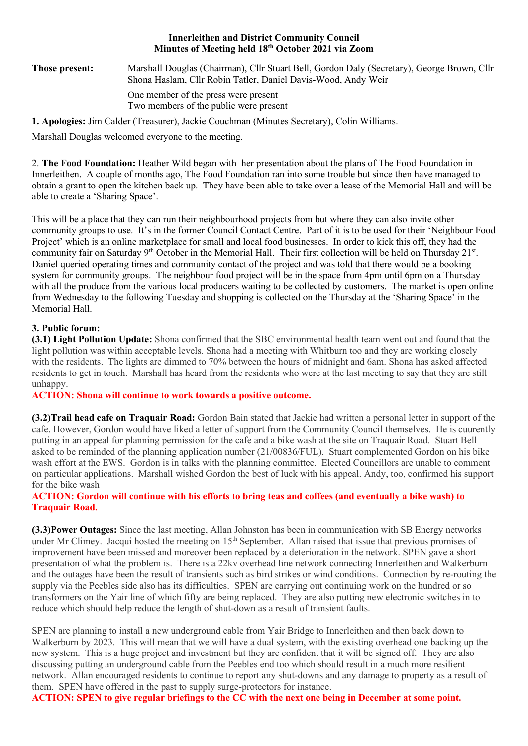#### Innerleithen and District Community Council Minutes of Meeting held 18th October 2021 via Zoom

Those present: Marshall Douglas (Chairman), Cllr Stuart Bell, Gordon Daly (Secretary), George Brown, Cllr Shona Haslam, Cllr Robin Tatler, Daniel Davis-Wood, Andy Weir One member of the press were present Two members of the public were present

1. Apologies: Jim Calder (Treasurer), Jackie Couchman (Minutes Secretary), Colin Williams.

Marshall Douglas welcomed everyone to the meeting.

2. The Food Foundation: Heather Wild began with her presentation about the plans of The Food Foundation in Innerleithen. A couple of months ago, The Food Foundation ran into some trouble but since then have managed to obtain a grant to open the kitchen back up. They have been able to take over a lease of the Memorial Hall and will be able to create a 'Sharing Space'.

This will be a place that they can run their neighbourhood projects from but where they can also invite other community groups to use. It's in the former Council Contact Centre. Part of it is to be used for their 'Neighbour Food Project' which is an online marketplace for small and local food businesses. In order to kick this off, they had the community fair on Saturday 9<sup>th</sup> October in the Memorial Hall. Their first collection will be held on Thursday 21<sup>st</sup>. Daniel queried operating times and community contact of the project and was told that there would be a booking system for community groups. The neighbour food project will be in the space from 4pm until 6pm on a Thursday with all the produce from the various local producers waiting to be collected by customers. The market is open online from Wednesday to the following Tuesday and shopping is collected on the Thursday at the 'Sharing Space' in the Memorial Hall.

## 3. Public forum:

(3.1) Light Pollution Update: Shona confirmed that the SBC environmental health team went out and found that the light pollution was within acceptable levels. Shona had a meeting with Whitburn too and they are working closely with the residents. The lights are dimmed to 70% between the hours of midnight and 6am. Shona has asked affected residents to get in touch. Marshall has heard from the residents who were at the last meeting to say that they are still unhappy.

ACTION: Shona will continue to work towards a positive outcome.

(3.2)Trail head cafe on Traquair Road: Gordon Bain stated that Jackie had written a personal letter in support of the cafe. However, Gordon would have liked a letter of support from the Community Council themselves. He is cuurently putting in an appeal for planning permission for the cafe and a bike wash at the site on Traquair Road. Stuart Bell asked to be reminded of the planning application number (21/00836/FUL). Stuart complemented Gordon on his bike wash effort at the EWS. Gordon is in talks with the planning committee. Elected Councillors are unable to comment on particular applications. Marshall wished Gordon the best of luck with his appeal. Andy, too, confirmed his support for the bike wash

## ACTION: Gordon will continue with his efforts to bring teas and coffees (and eventually a bike wash) to Traquair Road.

(3.3)Power Outages: Since the last meeting, Allan Johnston has been in communication with SB Energy networks under Mr Climey. Jacqui hosted the meeting on 15<sup>th</sup> September. Allan raised that issue that previous promises of improvement have been missed and moreover been replaced by a deterioration in the network. SPEN gave a short presentation of what the problem is. There is a 22kv overhead line network connecting Innerleithen and Walkerburn and the outages have been the result of transients such as bird strikes or wind conditions. Connection by re-routing the supply via the Peebles side also has its difficulties. SPEN are carrying out continuing work on the hundred or so transformers on the Yair line of which fifty are being replaced. They are also putting new electronic switches in to reduce which should help reduce the length of shut-down as a result of transient faults.

SPEN are planning to install a new underground cable from Yair Bridge to Innerleithen and then back down to Walkerburn by 2023. This will mean that we will have a dual system, with the existing overhead one backing up the new system. This is a huge project and investment but they are confident that it will be signed off. They are also discussing putting an underground cable from the Peebles end too which should result in a much more resilient network. Allan encouraged residents to continue to report any shut-downs and any damage to property as a result of them. SPEN have offered in the past to supply surge-protectors for instance.

ACTION: SPEN to give regular briefings to the CC with the next one being in December at some point.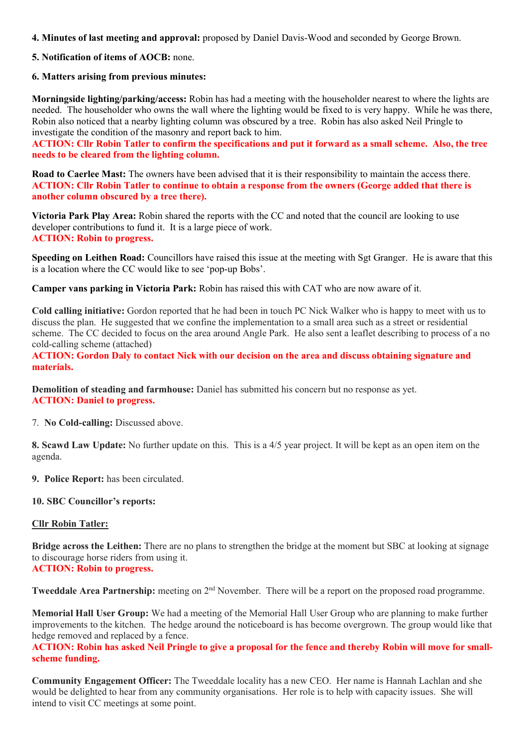- 4. Minutes of last meeting and approval: proposed by Daniel Davis-Wood and seconded by George Brown.
- 5. Notification of items of AOCB: none.

#### 6. Matters arising from previous minutes:

Morningside lighting/parking/access: Robin has had a meeting with the householder nearest to where the lights are needed. The householder who owns the wall where the lighting would be fixed to is very happy. While he was there, Robin also noticed that a nearby lighting column was obscured by a tree. Robin has also asked Neil Pringle to investigate the condition of the masonry and report back to him.

ACTION: Cllr Robin Tatler to confirm the specifications and put it forward as a small scheme. Also, the tree needs to be cleared from the lighting column.

Road to Caerlee Mast: The owners have been advised that it is their responsibility to maintain the access there. ACTION: Cllr Robin Tatler to continue to obtain a response from the owners (George added that there is another column obscured by a tree there).

Victoria Park Play Area: Robin shared the reports with the CC and noted that the council are looking to use developer contributions to fund it. It is a large piece of work. ACTION: Robin to progress.

Speeding on Leithen Road: Councillors have raised this issue at the meeting with Sgt Granger. He is aware that this is a location where the CC would like to see 'pop-up Bobs'.

Camper vans parking in Victoria Park: Robin has raised this with CAT who are now aware of it.

Cold calling initiative: Gordon reported that he had been in touch PC Nick Walker who is happy to meet with us to discuss the plan. He suggested that we confine the implementation to a small area such as a street or residential scheme. The CC decided to focus on the area around Angle Park. He also sent a leaflet describing to process of a no cold-calling scheme (attached)

#### ACTION: Gordon Daly to contact Nick with our decision on the area and discuss obtaining signature and materials.

Demolition of steading and farmhouse: Daniel has submitted his concern but no response as yet. ACTION: Daniel to progress.

7. No Cold-calling: Discussed above.

8. Scawd Law Update: No further update on this. This is a 4/5 year project. It will be kept as an open item on the agenda.

9. Police Report: has been circulated.

#### 10. SBC Councillor's reports:

#### Cllr Robin Tatler:

Bridge across the Leithen: There are no plans to strengthen the bridge at the moment but SBC at looking at signage to discourage horse riders from using it.

# ACTION: Robin to progress.

Tweeddale Area Partnership: meeting on 2<sup>nd</sup> November. There will be a report on the proposed road programme.

Memorial Hall User Group: We had a meeting of the Memorial Hall User Group who are planning to make further improvements to the kitchen. The hedge around the noticeboard is has become overgrown. The group would like that hedge removed and replaced by a fence.

ACTION: Robin has asked Neil Pringle to give a proposal for the fence and thereby Robin will move for smallscheme funding.

Community Engagement Officer: The Tweeddale locality has a new CEO. Her name is Hannah Lachlan and she would be delighted to hear from any community organisations. Her role is to help with capacity issues. She will intend to visit CC meetings at some point.